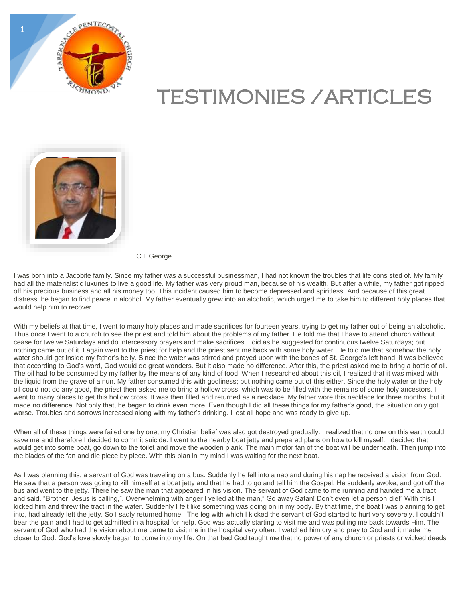



C.I. George

I was born into a Jacobite family. Since my father was a successful businessman, I had not known the troubles that life consisted of. My family had all the materialistic luxuries to live a good life. My father was very proud man, because of his wealth. But after a while, my father got ripped off his precious business and all his money too. This incident caused him to become depressed and spiritless. And because of this great distress, he began to find peace in alcohol. My father eventually grew into an alcoholic, which urged me to take him to different holy places that would help him to recover.

With my beliefs at that time, I went to many holy places and made sacrifices for fourteen years, trying to get my father out of being an alcoholic. Thus once I went to a church to see the priest and told him about the problems of my father. He told me that I have to attend church without cease for twelve Saturdays and do intercessory prayers and make sacrifices. I did as he suggested for continuous twelve Saturdays; but nothing came out of it. I again went to the priest for help and the priest sent me back with some holy water. He told me that somehow the holy water should get inside my father's belly. Since the water was stirred and prayed upon with the bones of St. George's left hand, it was believed that according to God's word, God would do great wonders. But it also made no difference. After this, the priest asked me to bring a bottle of oil. The oil had to be consumed by my father by the means of any kind of food. When I researched about this oil, I realized that it was mixed with the liquid from the grave of a nun. My father consumed this with godliness; but nothing came out of this either. Since the holy water or the holy oil could not do any good, the priest then asked me to bring a hollow cross, which was to be filled with the remains of some holy ancestors. I went to many places to get this hollow cross. It was then filled and returned as a necklace. My father wore this necklace for three months, but it made no difference. Not only that, he began to drink even more. Even though I did all these things for my father's good, the situation only got worse. Troubles and sorrows increased along with my father's drinking. I lost all hope and was ready to give up.

When all of these things were failed one by one, my Christian belief was also got destroyed gradually. I realized that no one on this earth could save me and therefore I decided to commit suicide. I went to the nearby boat jetty and prepared plans on how to kill myself. I decided that would get into some boat, go down to the toilet and move the wooden plank. The main motor fan of the boat will be underneath. Then jump into the blades of the fan and die piece by piece. With this plan in my mind I was waiting for the next boat.

As I was planning this, a servant of God was traveling on a bus. Suddenly he fell into a nap and during his nap he received a vision from God. He saw that a person was going to kill himself at a boat jetty and that he had to go and tell him the Gospel. He suddenly awoke, and got off the bus and went to the jetty. There he saw the man that appeared in his vision. The servant of God came to me running and handed me a tract and said. "Brother, Jesus is calling,". Overwhelming with anger I yelled at the man," Go away Satan! Don't even let a person die!" With this I kicked him and threw the tract in the water. Suddenly I felt like something was going on in my body. By that time, the boat I was planning to get into, had already left the jetty. So I sadly returned home. The leg with which I kicked the servant of God started to hurt very severely. I couldn't bear the pain and I had to get admitted in a hospital for help. God was actually starting to visit me and was pulling me back towards Him. The servant of God who had the vision about me came to visit me in the hospital very often. I watched him cry and pray to God and it made me closer to God. God's love slowly began to come into my life. On that bed God taught me that no power of any church or priests or wicked deeds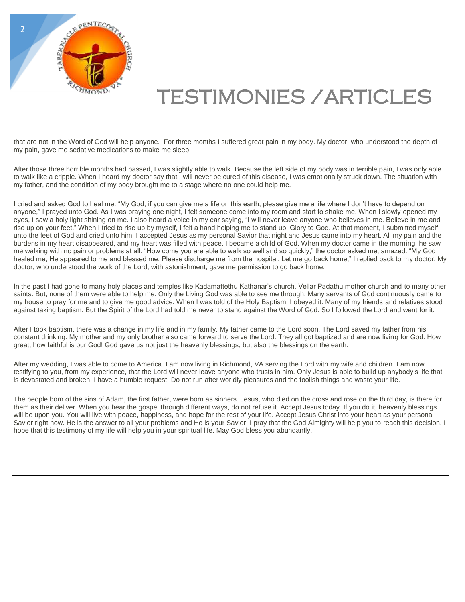

that are not in the Word of God will help anyone. For three months I suffered great pain in my body. My doctor, who understood the depth of my pain, gave me sedative medications to make me sleep.

After those three horrible months had passed, I was slightly able to walk. Because the left side of my body was in terrible pain, I was only able to walk like a cripple. When I heard my doctor say that I will never be cured of this disease, I was emotionally struck down. The situation with my father, and the condition of my body brought me to a stage where no one could help me.

I cried and asked God to heal me. "My God, if you can give me a life on this earth, please give me a life where I don't have to depend on anyone," I prayed unto God. As I was praying one night, I felt someone come into my room and start to shake me. When I slowly opened my eyes, I saw a holy light shining on me. I also heard a voice in my ear saying, "I will never leave anyone who believes in me. Believe in me and rise up on your feet." When I tried to rise up by myself, I felt a hand helping me to stand up. Glory to God. At that moment, I submitted myself unto the feet of God and cried unto him. I accepted Jesus as my personal Savior that night and Jesus came into my heart. All my pain and the burdens in my heart disappeared, and my heart was filled with peace. I became a child of God. When my doctor came in the morning, he saw me walking with no pain or problems at all. "How come you are able to walk so well and so quickly," the doctor asked me, amazed. "My God healed me, He appeared to me and blessed me. Please discharge me from the hospital. Let me go back home," I replied back to my doctor. My doctor, who understood the work of the Lord, with astonishment, gave me permission to go back home.

In the past I had gone to many holy places and temples like Kadamattethu Kathanar's church, Vellar Padathu mother church and to many other saints. But, none of them were able to help me. Only the Living God was able to see me through. Many servants of God continuously came to my house to pray for me and to give me good advice. When I was told of the Holy Baptism, I obeyed it. Many of my friends and relatives stood against taking baptism. But the Spirit of the Lord had told me never to stand against the Word of God. So I followed the Lord and went for it.

After I took baptism, there was a change in my life and in my family. My father came to the Lord soon. The Lord saved my father from his constant drinking. My mother and my only brother also came forward to serve the Lord. They all got baptized and are now living for God. How great, how faithful is our God! God gave us not just the heavenly blessings, but also the blessings on the earth.

After my wedding, I was able to come to America. I am now living in Richmond, VA serving the Lord with my wife and children. I am now testifying to you, from my experience, that the Lord will never leave anyone who trusts in him. Only Jesus is able to build up anybody's life that is devastated and broken. I have a humble request. Do not run after worldly pleasures and the foolish things and waste your life.

The people born of the sins of Adam, the first father, were born as sinners. Jesus, who died on the cross and rose on the third day, is there for them as their deliver. When you hear the gospel through different ways, do not refuse it. Accept Jesus today. If you do it, heavenly blessings will be upon you. You will live with peace, happiness, and hope for the rest of your life. Accept Jesus Christ into your heart as your personal Savior right now. He is the answer to all your problems and He is your Savior. I pray that the God Almighty will help you to reach this decision. I hope that this testimony of my life will help you in your spiritual life. May God bless you abundantly.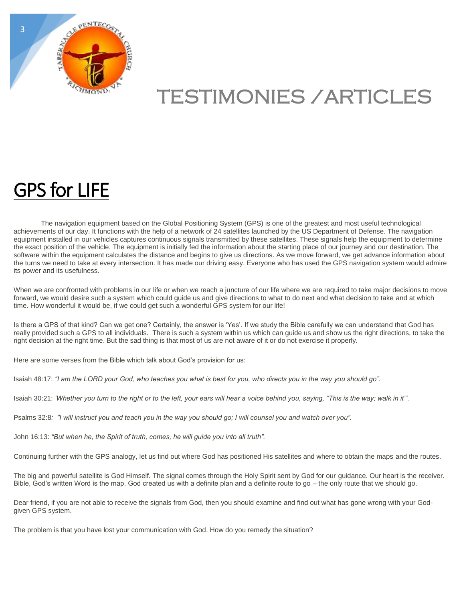

## GPS for LIFE

The navigation equipment based on the Global Positioning System (GPS) is one of the greatest and most useful technological achievements of our day. It functions with the help of a network of 24 satellites launched by the US Department of Defense. The navigation equipment installed in our vehicles captures continuous signals transmitted by these satellites. These signals help the equipment to determine the exact position of the vehicle. The equipment is initially fed the information about the starting place of our journey and our destination. The software within the equipment calculates the distance and begins to give us directions. As we move forward, we get advance information about the turns we need to take at every intersection. It has made our driving easy. Everyone who has used the GPS navigation system would admire its power and its usefulness.

When we are confronted with problems in our life or when we reach a juncture of our life where we are required to take major decisions to move forward, we would desire such a system which could guide us and give directions to what to do next and what decision to take and at which time. How wonderful it would be, if we could get such a wonderful GPS system for our life!

Is there a GPS of that kind? Can we get one? Certainly, the answer is 'Yes'. If we study the Bible carefully we can understand that God has really provided such a GPS to all individuals. There is such a system within us which can guide us and show us the right directions, to take the right decision at the right time. But the sad thing is that most of us are not aware of it or do not exercise it properly.

Here are some verses from the Bible which talk about God's provision for us:

Isaiah 48:17: *"I am the LORD your God, who teaches you what is best for you, who directs you in the way you should go".*

Isaiah 30:21: *'Whether you turn to the right or to the left, your ears will hear a voice behind you, saying, "This is the way; walk in it"'.*

Psalms 32:8*: "I will instruct you and teach you in the way you should go; I will counsel you and watch over you".*

John 16:13: *"But when he, the Spirit of truth, comes, he will guide you into all truth".*

Continuing further with the GPS analogy, let us find out where God has positioned His satellites and where to obtain the maps and the routes.

The big and powerful satellite is God Himself. The signal comes through the Holy Spirit sent by God for our guidance. Our heart is the receiver. Bible, God's written Word is the map. God created us with a definite plan and a definite route to go – the only route that we should go.

Dear friend, if you are not able to receive the signals from God, then you should examine and find out what has gone wrong with your Godgiven GPS system.

The problem is that you have lost your communication with God. How do you remedy the situation?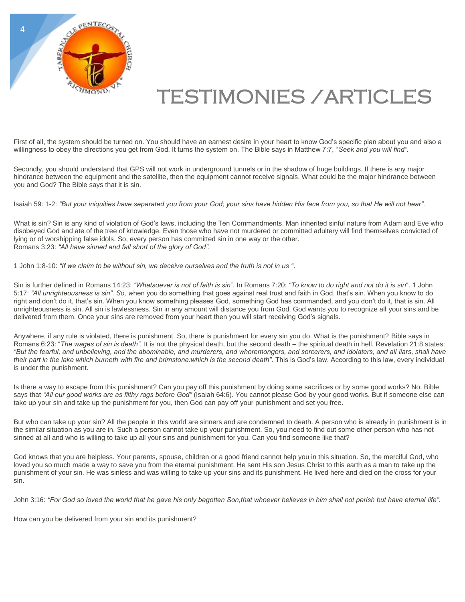

First of all, the system should be turned on. You should have an earnest desire in your heart to know God's specific plan about you and also a willingness to obey the directions you get from God. It turns the system on. The Bible says in Matthew 7:7, "*Seek and you will find".*

Secondly, you should understand that GPS will not work in underground tunnels or in the shadow of huge buildings. If there is any major hindrance between the equipment and the satellite, then the equipment cannot receive signals. What could be the major hindrance between you and God? The Bible says that it is sin.

Isaiah 59: 1-2: *"But your iniquities have separated you from your God; your sins have hidden His face from you, so that He will not hear".*

What is sin? Sin is any kind of violation of God's laws, including the Ten Commandments. Man inherited sinful nature from Adam and Eve who disobeyed God and ate of the tree of knowledge. Even those who have not murdered or committed adultery will find themselves convicted of lying or of worshipping false idols. So, every person has committed sin in one way or the other. Romans 3:23: *"All have sinned and fall short of the glory of God".*

1 John 1:8-10: *"If we claim to be without sin, we deceive ourselves and the truth is not in us "*.

Sin is further defined in Romans 14:23: *"Whatsoever is not of faith is sin".* In Romans 7:20: *"To know to do right and not do it is sin*". 1 John 5:17: *"All unrighteousness is sin". So, w*hen you do something that goes against real trust and faith in God, that's sin. When you know to do right and don't do it, that's sin. When you know something pleases God, something God has commanded, and you don't do it, that is sin. All unrighteousness is sin. All sin is lawlessness. Sin in any amount will distance you from God. God wants you to recognize all your sins and be delivered from them. Once your sins are removed from your heart then you will start receiving God's signals.

Anywhere, if any rule is violated, there is punishment. So, there is punishment for every sin you do. What is the punishment? Bible says in Romans 6:23: "*The wages of sin is death".* It is not the physical death, but the second death – the spiritual death in hell. Revelation 21:8 states: *"But the fearful, and unbelieving, and the abominable, and murderers, and whoremongers, and sorcerers, and idolaters, and all liars, shall have their part in the lake which burneth with fire and brimstone:which is the second death"*. This is God's law. According to this law, every individual is under the punishment.

Is there a way to escape from this punishment? Can you pay off this punishment by doing some sacrifices or by some good works? No. Bible says that *"All our good works are as filthy rags before God"* (Isaiah 64:6). You cannot please God by your good works. But if someone else can take up your sin and take up the punishment for you, then God can pay off your punishment and set you free.

But who can take up your sin? All the people in this world are sinners and are condemned to death. A person who is already in punishment is in the similar situation as you are in. Such a person cannot take up your punishment. So, you need to find out some other person who has not sinned at all and who is willing to take up all your sins and punishment for you. Can you find someone like that?

God knows that you are helpless. Your parents, spouse, children or a good friend cannot help you in this situation. So, the merciful God, who loved you so much made a way to save you from the eternal punishment. He sent His son Jesus Christ to this earth as a man to take up the punishment of your sin. He was sinless and was willing to take up your sins and its punishment. He lived here and died on the cross for your sin.

John 3:16: *"For God so loved the world that he gave his only begotten Son,that whoever believes in him shall not perish but have eternal life".*

How can you be delivered from your sin and its punishment?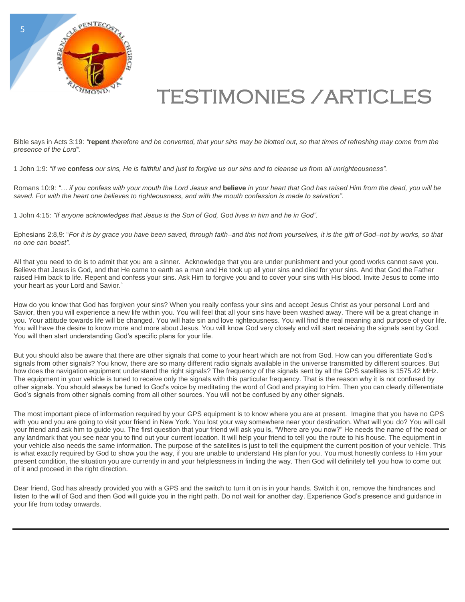

Bible says in Acts 3:19: *"***repent** *therefore and be converted, that your sins may be blotted out, so that times of refreshing may come from the presence of the Lord".* 

1 John 1:9: *"if we* **confess** *our sins, He is faithful and just to forgive us our sins and to cleanse us from all unrighteousness".*

Romans 10:9: *"… if you confess with your mouth the Lord Jesus and* **believe** *in your heart that God has raised Him from the dead, you will be saved. For with the heart one believes to righteousness, and with the mouth confession is made to salvation".*

1 John 4:15: *"If anyone acknowledges that Jesus is the Son of God, God lives in him and he in God".*

Ephesians 2:8,9: "*For it is by grace you have been saved, through faith–and this not from yourselves, it is the gift of God–not by works, so that no one can boast".*

All that you need to do is to admit that you are a sinner. Acknowledge that you are under punishment and your good works cannot save you. Believe that Jesus is God, and that He came to earth as a man and He took up all your sins and died for your sins. And that God the Father raised Him back to life. Repent and confess your sins. Ask Him to forgive you and to cover your sins with His blood. Invite Jesus to come into your heart as your Lord and Savior.`

How do you know that God has forgiven your sins? When you really confess your sins and accept Jesus Christ as your personal Lord and Savior, then you will experience a new life within you. You will feel that all your sins have been washed away. There will be a great change in you. Your attitude towards life will be changed. You will hate sin and love righteousness. You will find the real meaning and purpose of your life. You will have the desire to know more and more about Jesus. You will know God very closely and will start receiving the signals sent by God. You will then start understanding God's specific plans for your life.

But you should also be aware that there are other signals that come to your heart which are not from God. How can you differentiate God's signals from other signals? You know, there are so many different radio signals available in the universe transmitted by different sources. But how does the navigation equipment understand the right signals? The frequency of the signals sent by all the GPS satellites is 1575.42 MHz. The equipment in your vehicle is tuned to receive only the signals with this particular frequency. That is the reason why it is not confused by other signals. You should always be tuned to God's voice by meditating the word of God and praying to Him. Then you can clearly differentiate God's signals from other signals coming from all other sources. You will not be confused by any other signals.

The most important piece of information required by your GPS equipment is to know where you are at present. Imagine that you have no GPS with you and you are going to visit your friend in New York. You lost your way somewhere near your destination. What will you do? You will call your friend and ask him to guide you. The first question that your friend will ask you is, "Where are you now?" He needs the name of the road or any landmark that you see near you to find out your current location. It will help your friend to tell you the route to his house. The equipment in your vehicle also needs the same information. The purpose of the satellites is just to tell the equipment the current position of your vehicle. This is what exactly required by God to show you the way, if you are unable to understand His plan for you. You must honestly confess to Him your present condition, the situation you are currently in and your helplessness in finding the way. Then God will definitely tell you how to come out of it and proceed in the right direction.

Dear friend, God has already provided you with a GPS and the switch to turn it on is in your hands. Switch it on, remove the hindrances and listen to the will of God and then God will guide you in the right path. Do not wait for another day. Experience God's presence and guidance in your life from today onwards.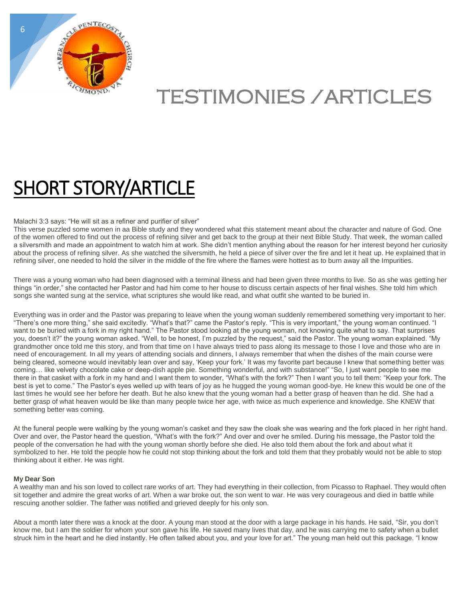

# SHORT STORY/ARTICLE

#### Malachi 3:3 says: "He will sit as a refiner and purifier of silver"

This verse puzzled some women in aa Bible study and they wondered what this statement meant about the character and nature of God. One of the women offered to find out the process of refining silver and get back to the group at their next Bible Study. That week, the woman called a silversmith and made an appointment to watch him at work. She didn't mention anything about the reason for her interest beyond her curiosity about the process of refining silver. As she watched the silversmith, he held a piece of silver over the fire and let it heat up. He explained that in refining silver, one needed to hold the silver in the middle of the fire where the flames were hottest as to burn away all the Impurities.

There was a young woman who had been diagnosed with a terminal illness and had been given three months to live. So as she was getting her things "in order," she contacted her Pastor and had him come to her house to discuss certain aspects of her final wishes. She told him which songs she wanted sung at the service, what scriptures she would like read, and what outfit she wanted to be buried in.

Everything was in order and the Pastor was preparing to leave when the young woman suddenly remembered something very important to her. "There's one more thing," she said excitedly. "What's that?" came the Pastor's reply. "This is very important," the young woman continued. "I want to be buried with a fork in my right hand." The Pastor stood looking at the young woman, not knowing quite what to say. That surprises you, doesn't it?" the young woman asked. "Well, to be honest, I'm puzzled by the request," said the Pastor. The young woman explained. "My grandmother once told me this story, and from that time on I have always tried to pass along its message to those I love and those who are in need of encouragement. In all my years of attending socials and dinners, I always remember that when the dishes of the main course were being cleared, someone would inevitably lean over and say, 'Keep your fork.' It was my favorite part because I knew that something better was coming… like velvety chocolate cake or deep-dish apple pie. Something wonderful, and with substance!" "So, I just want people to see me there in that casket with a fork in my hand and I want them to wonder, "What's with the fork?" Then I want you to tell them: "Keep your fork. The best is yet to come." The Pastor's eyes welled up with tears of joy as he hugged the young woman good-bye. He knew this would be one of the last times he would see her before her death. But he also knew that the young woman had a better grasp of heaven than he did. She had a better grasp of what heaven would be like than many people twice her age, with twice as much experience and knowledge. She KNEW that something better was coming.

At the funeral people were walking by the young woman's casket and they saw the cloak she was wearing and the fork placed in her right hand. Over and over, the Pastor heard the question, "What's with the fork?" And over and over he smiled. During his message, the Pastor told the people of the conversation he had with the young woman shortly before she died. He also told them about the fork and about what it symbolized to her. He told the people how he could not stop thinking about the fork and told them that they probably would not be able to stop thinking about it either. He was right.

#### **My Dear Son**

A wealthy man and his son loved to collect rare works of art. They had everything in their collection, from Picasso to Raphael. They would often sit together and admire the great works of art. When a war broke out, the son went to war. He was very courageous and died in battle while rescuing another soldier. The father was notified and grieved deeply for his only son.

About a month later there was a knock at the door. A young man stood at the door with a large package in his hands. He said, "Sir, you don't know me, but I am the soldier for whom your son gave his life. He saved many lives that day, and he was carrying me to safety when a bullet struck him in the heart and he died instantly. He often talked about you, and your love for art." The young man held out this package. "I know